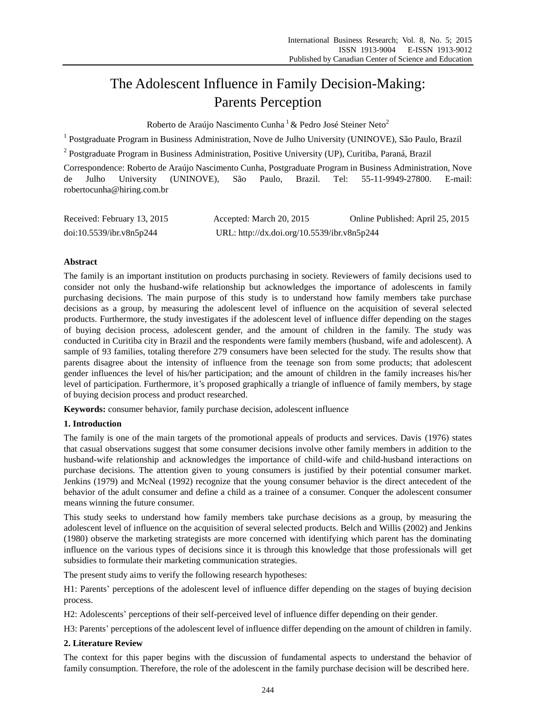# The Adolescent Influence in Family Decision-Making: Parents Perception

Roberto de Araújo Nascimento Cunha <sup>1</sup> & Pedro Jos é Steiner Neto<sup>2</sup>

<sup>1</sup> Postgraduate Program in Business Administration, Nove de Julho University (UNINOVE), São Paulo, Brazil

<sup>2</sup> Postgraduate Program in Business Administration, Positive University (UP), Curitiba, Paraná, Brazil

Correspondence: Roberto de Araújo Nascimento Cunha, Postgraduate Program in Business Administration, Nove de Julho University (UNINOVE), São Paulo, Brazil. Tel: 55-11-9949-27800. E-mail: robertocunha@hiring.com.br

| Received: February 13, 2015 | Accepted: March 20, 2015                    | Online Published: April 25, 2015 |
|-----------------------------|---------------------------------------------|----------------------------------|
| doi:10.5539/ibr.v8n5p244    | URL: http://dx.doi.org/10.5539/ibr.v8n5p244 |                                  |

# **Abstract**

The family is an important institution on products purchasing in society. Reviewers of family decisions used to consider not only the husband-wife relationship but acknowledges the importance of adolescents in family purchasing decisions. The main purpose of this study is to understand how family members take purchase decisions as a group, by measuring the adolescent level of influence on the acquisition of several selected products. Furthermore, the study investigates if the adolescent level of influence differ depending on the stages of buying decision process, adolescent gender, and the amount of children in the family. The study was conducted in Curitiba city in Brazil and the respondents were family members (husband, wife and adolescent). A sample of 93 families, totaling therefore 279 consumers have been selected for the study. The results show that parents disagree about the intensity of influence from the teenage son from some products; that adolescent gender influences the level of his/her participation; and the amount of children in the family increases his/her level of participation. Furthermore, it's proposed graphically a triangle of influence of family members, by stage of buying decision process and product researched.

**Keywords:** consumer behavior, family purchase decision, adolescent influence

# **1. Introduction**

The family is one of the main targets of the promotional appeals of products and services. Davis (1976) states that casual observations suggest that some consumer decisions involve other family members in addition to the husband-wife relationship and acknowledges the importance of child-wife and child-husband interactions on purchase decisions. The attention given to young consumers is justified by their potential consumer market. Jenkins (1979) and McNeal (1992) recognize that the young consumer behavior is the direct antecedent of the behavior of the adult consumer and define a child as a trainee of a consumer. Conquer the adolescent consumer means winning the future consumer.

This study seeks to understand how family members take purchase decisions as a group, by measuring the adolescent level of influence on the acquisition of several selected products. Belch and Willis (2002) and Jenkins (1980) observe the marketing strategists are more concerned with identifying which parent has the dominating influence on the various types of decisions since it is through this knowledge that those professionals will get subsidies to formulate their marketing communication strategies.

The present study aims to verify the following research hypotheses:

H1: Parents' perceptions of the adolescent level of influence differ depending on the stages of buying decision process.

H2: Adolescents' perceptions of their self-perceived level of influence differ depending on their gender.

H3: Parents' perceptions of the adolescent level of influence differ depending on the amount of children in family.

# **2. Literature Review**

The context for this paper begins with the discussion of fundamental aspects to understand the behavior of family consumption. Therefore, the role of the adolescent in the family purchase decision will be described here.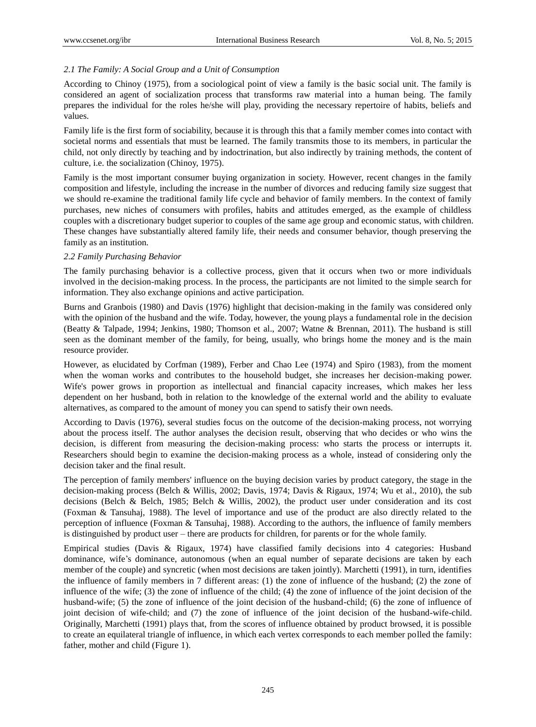# *2.1 The Family: A Social Group and a Unit of Consumption*

According to Chinoy (1975), from a sociological point of view a family is the basic social unit. The family is considered an agent of socialization process that transforms raw material into a human being. The family prepares the individual for the roles he/she will play, providing the necessary repertoire of habits, beliefs and values.

Family life is the first form of sociability, because it is through this that a family member comes into contact with societal norms and essentials that must be learned. The family transmits those to its members, in particular the child, not only directly by teaching and by indoctrination, but also indirectly by training methods, the content of culture, i.e. the socialization (Chinoy, 1975).

Family is the most important consumer buying organization in society. However, recent changes in the family composition and lifestyle, including the increase in the number of divorces and reducing family size suggest that we should re-examine the traditional family life cycle and behavior of family members. In the context of family purchases, new niches of consumers with profiles, habits and attitudes emerged, as the example of childless couples with a discretionary budget superior to couples of the same age group and economic status, with children. These changes have substantially altered family life, their needs and consumer behavior, though preserving the family as an institution.

# *2.2 Family Purchasing Behavior*

The family purchasing behavior is a collective process, given that it occurs when two or more individuals involved in the decision-making process. In the process, the participants are not limited to the simple search for information. They also exchange opinions and active participation.

Burns and Granbois (1980) and Davis (1976) highlight that decision-making in the family was considered only with the opinion of the husband and the wife. Today, however, the young plays a fundamental role in the decision (Beatty & Talpade, 1994; Jenkins, 1980; Thomson et al., 2007; Watne & Brennan, 2011). The husband is still seen as the dominant member of the family, for being, usually, who brings home the money and is the main resource provider.

However, as elucidated by Corfman (1989), Ferber and Chao Lee (1974) and Spiro (1983), from the moment when the woman works and contributes to the household budget, she increases her decision-making power. Wife's power grows in proportion as intellectual and financial capacity increases, which makes her less dependent on her husband, both in relation to the knowledge of the external world and the ability to evaluate alternatives, as compared to the amount of money you can spend to satisfy their own needs.

According to Davis (1976), several studies focus on the outcome of the decision-making process, not worrying about the process itself. The author analyses the decision result, observing that who decides or who wins the decision, is different from measuring the decision-making process: who starts the process or interrupts it. Researchers should begin to examine the decision-making process as a whole, instead of considering only the decision taker and the final result.

The perception of family members' influence on the buying decision varies by product category, the stage in the decision-making process (Belch & Willis, 2002; Davis, 1974; Davis & Rigaux, 1974; Wu et al., 2010), the sub decisions (Belch & Belch, 1985; Belch & Willis, 2002), the product user under consideration and its cost (Foxman & Tansuhaj, 1988). The level of importance and use of the product are also directly related to the perception of influence (Foxman & Tansuhaj, 1988). According to the authors, the influence of family members is distinguished by product user – there are products for children, for parents or for the whole family.

Empirical studies (Davis & Rigaux, 1974) have classified family decisions into 4 categories: Husband dominance, wife's dominance, autonomous (when an equal number of separate decisions are taken by each member of the couple) and syncretic (when most decisions are taken jointly). Marchetti (1991), in turn, identifies the influence of family members in 7 different areas: (1) the zone of influence of the husband; (2) the zone of influence of the wife; (3) the zone of influence of the child; (4) the zone of influence of the joint decision of the husband-wife; (5) the zone of influence of the joint decision of the husband-child; (6) the zone of influence of joint decision of wife-child; and (7) the zone of influence of the joint decision of the husband-wife-child. Originally, Marchetti (1991) plays that, from the scores of influence obtained by product browsed, it is possible to create an equilateral triangle of influence, in which each vertex corresponds to each member polled the family: father, mother and child (Figure 1).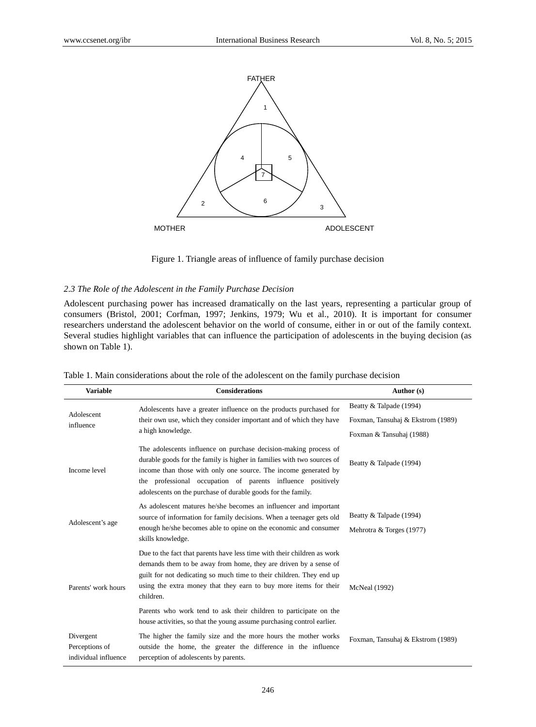

Figure 1. Triangle areas of influence of family purchase decision

# *2.3 The Role of the Adolescent in the Family Purchase Decision*

Adolescent purchasing power has increased dramatically on the last years, representing a particular group of consumers (Bristol, 2001; Corfman, 1997; Jenkins, 1979; Wu et al., 2010). It is important for consumer researchers understand the adolescent behavior on the world of consume, either in or out of the family context. Several studies highlight variables that can influence the participation of adolescents in the buying decision (as shown on Table 1).

| <b>Variable</b>                                     | <b>Considerations</b>                                                                                                                                                                                                                                                                                                                        | Author (s)                                                                               |
|-----------------------------------------------------|----------------------------------------------------------------------------------------------------------------------------------------------------------------------------------------------------------------------------------------------------------------------------------------------------------------------------------------------|------------------------------------------------------------------------------------------|
| Adolescent<br>influence                             | Adolescents have a greater influence on the products purchased for<br>their own use, which they consider important and of which they have<br>a high knowledge.                                                                                                                                                                               | Beatty & Talpade (1994)<br>Foxman, Tansuhaj & Ekstrom (1989)<br>Foxman & Tansuhaj (1988) |
| Income level                                        | The adolescents influence on purchase decision-making process of<br>durable goods for the family is higher in families with two sources of<br>income than those with only one source. The income generated by<br>the professional occupation of parents influence positively<br>adolescents on the purchase of durable goods for the family. | Beatty & Talpade (1994)                                                                  |
| Adolescent's age                                    | As adolescent matures he/she becomes an influencer and important<br>source of information for family decisions. When a teenager gets old<br>enough he/she becomes able to opine on the economic and consumer<br>skills knowledge.                                                                                                            | Beatty & Talpade (1994)<br>Mehrotra & Torges (1977)                                      |
| Parents' work hours                                 | Due to the fact that parents have less time with their children as work<br>demands them to be away from home, they are driven by a sense of<br>guilt for not dedicating so much time to their children. They end up<br>using the extra money that they earn to buy more items for their<br>children.                                         | McNeal (1992)                                                                            |
|                                                     | Parents who work tend to ask their children to participate on the<br>house activities, so that the young assume purchasing control earlier.                                                                                                                                                                                                  |                                                                                          |
| Divergent<br>Perceptions of<br>individual influence | The higher the family size and the more hours the mother works<br>outside the home, the greater the difference in the influence<br>perception of adolescents by parents.                                                                                                                                                                     | Foxman, Tansuhaj & Ekstrom (1989)                                                        |

|  | Table 1. Main considerations about the role of the adolescent on the family purchase decision |  |  |  |  |
|--|-----------------------------------------------------------------------------------------------|--|--|--|--|
|  |                                                                                               |  |  |  |  |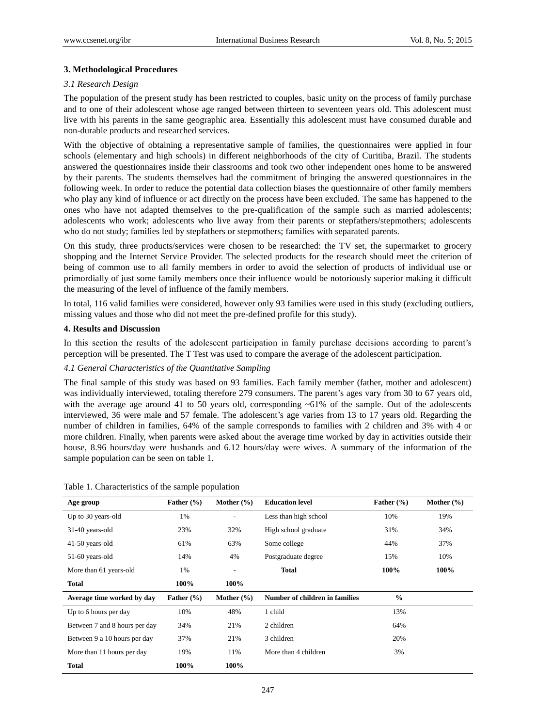## **3. Methodological Procedures**

## *3.1 Research Design*

The population of the present study has been restricted to couples, basic unity on the process of family purchase and to one of their adolescent whose age ranged between thirteen to seventeen years old. This adolescent must live with his parents in the same geographic area. Essentially this adolescent must have consumed durable and non-durable products and researched services.

With the objective of obtaining a representative sample of families, the questionnaires were applied in four schools (elementary and high schools) in different neighborhoods of the city of Curitiba, Brazil. The students answered the questionnaires inside their classrooms and took two other independent ones home to be answered by their parents. The students themselves had the commitment of bringing the answered questionnaires in the following week. In order to reduce the potential data collection biases the questionnaire of other family members who play any kind of influence or act directly on the process have been excluded. The same has happened to the ones who have not adapted themselves to the pre-qualification of the sample such as married adolescents; adolescents who work; adolescents who live away from their parents or stepfathers/stepmothers; adolescents who do not study; families led by stepfathers or stepmothers; families with separated parents.

On this study, three products/services were chosen to be researched: the TV set, the supermarket to grocery shopping and the Internet Service Provider. The selected products for the research should meet the criterion of being of common use to all family members in order to avoid the selection of products of individual use or primordially of just some family members once their influence would be notoriously superior making it difficult the measuring of the level of influence of the family members.

In total, 116 valid families were considered, however only 93 families were used in this study (excluding outliers, missing values and those who did not meet the pre-defined profile for this study).

#### **4. Results and Discussion**

In this section the results of the adolescent participation in family purchase decisions according to parent's perception will be presented. The T Test was used to compare the average of the adolescent participation.

# *4.1 General Characteristics of the Quantitative Sampling*

The final sample of this study was based on 93 families. Each family member (father, mother and adolescent) was individually interviewed, totaling therefore 279 consumers. The parent's ages vary from 30 to 67 years old, with the average age around 41 to 50 years old, corresponding  $~61\%$  of the sample. Out of the adolescents interviewed, 36 were male and 57 female. The adolescent's age varies from 13 to 17 years old. Regarding the number of children in families, 64% of the sample corresponds to families with 2 children and 3% with 4 or more children. Finally, when parents were asked about the average time worked by day in activities outside their house, 8.96 hours/day were husbands and 6.12 hours/day were wives. A summary of the information of the sample population can be seen on table 1.

| Age group                     | Father $(\% )$ | Mother $(\% )$               | <b>Education level</b>         | Father $(\% )$ | Mother $(\% )$ |
|-------------------------------|----------------|------------------------------|--------------------------------|----------------|----------------|
| Up to 30 years-old            | 1%             | ٠                            | Less than high school          | 10%            | 19%            |
| 31-40 years-old               | 23%            | 32%                          | High school graduate           | 31%            | 34%            |
| 41-50 years-old               | 61%            | 63%                          | Some college                   | 44%            | 37%            |
| 51-60 years-old               | 14%            | 4%                           | Postgraduate degree            | 15%            | 10%            |
| More than 61 years-old        | 1%             | $\qquad \qquad \blacksquare$ | <b>Total</b>                   | 100%           | 100%           |
| <b>Total</b>                  | 100%           | 100%                         |                                |                |                |
| Average time worked by day    | Father $(\% )$ | Mother $(\% )$               | Number of children in families | $\frac{0}{0}$  |                |
| Up to 6 hours per day         | 10%            | 48%                          | 1 child                        | 13%            |                |
| Between 7 and 8 hours per day | 34%            | 21%                          | 2 children                     | 64%            |                |
| Between 9 a 10 hours per day  | 37%            | 21%                          | 3 children                     | 20%            |                |
| More than 11 hours per day    | 19%            | 11%                          | More than 4 children           | 3%             |                |
| <b>Total</b>                  | 100%           | 100%                         |                                |                |                |

## Table 1. Characteristics of the sample population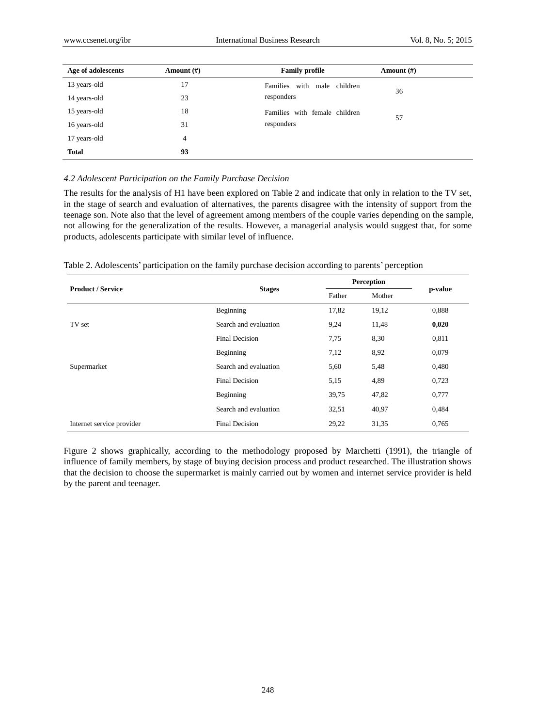| Age of adolescents | Amount $(\#)$ | <b>Family profile</b>         | Amount $(\#)$ |  |
|--------------------|---------------|-------------------------------|---------------|--|
| 13 years-old       | 17            | Families with male children   | 36            |  |
| 14 years-old       | 23            | responders                    |               |  |
| 15 years-old       | 18            | Families with female children |               |  |
| 16 years-old       | 31            | responders                    | 57            |  |
| 17 years-old       | 4             |                               |               |  |
| <b>Total</b>       | 93            |                               |               |  |

## *4.2 Adolescent Participation on the Family Purchase Decision*

The results for the analysis of H1 have been explored on Table 2 and indicate that only in relation to the TV set, in the stage of search and evaluation of alternatives, the parents disagree with the intensity of support from the teenage son. Note also that the level of agreement among members of the couple varies depending on the sample, not allowing for the generalization of the results. However, a managerial analysis would suggest that, for some products, adolescents participate with similar level of influence.

## Table 2. Adolescents' participation on the family purchase decision according to parents' perception

|                           |                       |        | Perception |         |  |
|---------------------------|-----------------------|--------|------------|---------|--|
| <b>Product / Service</b>  | <b>Stages</b>         | Father | Mother     | p-value |  |
|                           | Beginning             | 17,82  | 19,12      | 0,888   |  |
| TV set                    | Search and evaluation | 9,24   | 11,48      | 0,020   |  |
|                           | <b>Final Decision</b> | 7,75   | 8.30       | 0.811   |  |
|                           | Beginning             | 7,12   | 8,92       | 0,079   |  |
| Supermarket               | Search and evaluation | 5,60   | 5,48       | 0,480   |  |
|                           | <b>Final Decision</b> | 5,15   | 4,89       | 0,723   |  |
|                           | Beginning             | 39,75  | 47,82      | 0,777   |  |
|                           | Search and evaluation | 32,51  | 40,97      | 0.484   |  |
| Internet service provider | <b>Final Decision</b> | 29,22  | 31,35      | 0.765   |  |

Figure 2 shows graphically, according to the methodology proposed by Marchetti (1991), the triangle of influence of family members, by stage of buying decision process and product researched. The illustration shows that the decision to choose the supermarket is mainly carried out by women and internet service provider is held by the parent and teenager.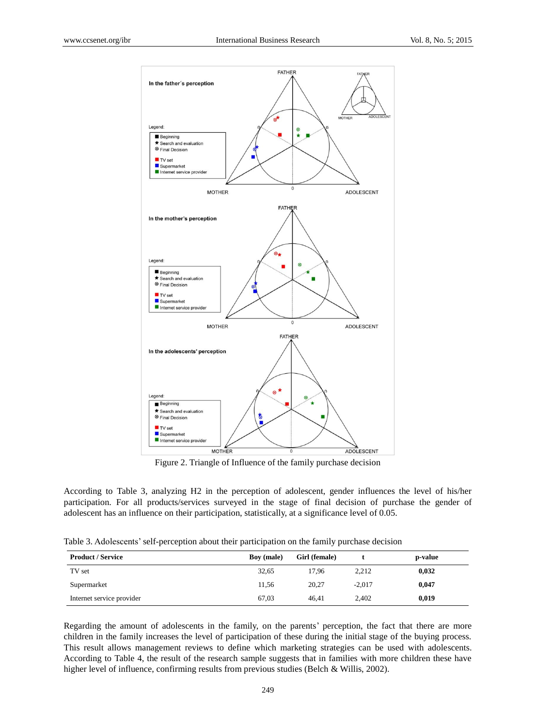

Figure 2. Triangle of Influence of the family purchase decision

According to Table 3, analyzing H2 in the perception of adolescent, gender influences the level of his/her participation. For all products/services surveyed in the stage of final decision of purchase the gender of adolescent has an influence on their participation, statistically, at a significance level of 0.05.

Table 3. Adolescents'self-perception about their participation on the family purchase decision

| <b>Product / Service</b>  | Boy (male) | Girl (female) |          | p-value |
|---------------------------|------------|---------------|----------|---------|
| TV set                    | 32,65      | 17.96         | 2,212    | 0,032   |
| Supermarket               | 11.56      | 20.27         | $-2.017$ | 0,047   |
| Internet service provider | 67.03      | 46.41         | 2.402    | 0,019   |

Regarding the amount of adolescents in the family, on the parents' perception, the fact that there are more children in the family increases the level of participation of these during the initial stage of the buying process. This result allows management reviews to define which marketing strategies can be used with adolescents. According to Table 4, the result of the research sample suggests that in families with more children these have higher level of influence, confirming results from previous studies (Belch & Willis, 2002).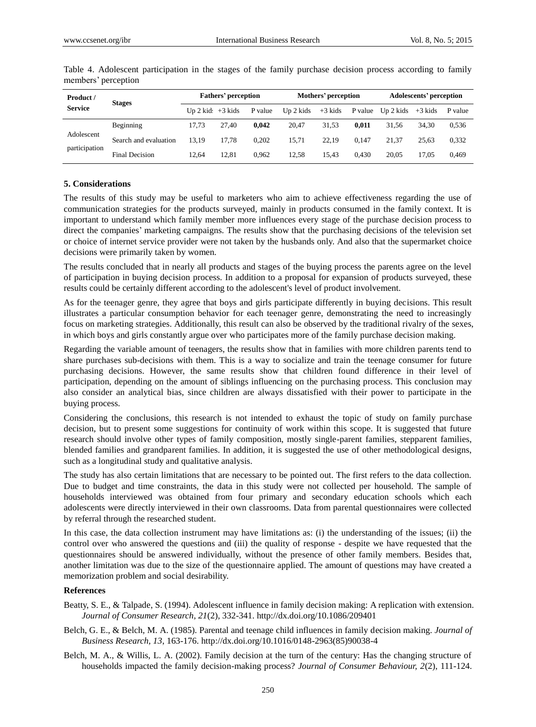| Product /      | <b>Stages</b>         | <b>Fathers' perception</b> |       | Mothers' perception |           |           | <b>Adolescents' perception</b> |           |           |         |
|----------------|-----------------------|----------------------------|-------|---------------------|-----------|-----------|--------------------------------|-----------|-----------|---------|
| <b>Service</b> |                       | Up 2 kid: $+3$ kids        |       | P value             | Up 2 kids | $+3$ kids | P value                        | Up 2 kids | $+3$ kids | P value |
|                | Beginning             | 17.73                      | 27.40 | 0.042               | 20.47     | 31.53     | 0.011                          | 31.56     | 34.30     | 0,536   |
| Adolescent     | Search and evaluation | 13.19                      | 17.78 | 0.202               | 15.71     | 22.19     | 0.147                          | 21.37     | 25.63     | 0.332   |
| participation  | <b>Final Decision</b> | 12.64                      | 12.81 | 0.962               | 12.58     | 15.43     | 0.430                          | 20.05     | 17.05     | 0.469   |

Table 4. Adolescent participation in the stages of the family purchase decision process according to family members' perception

## **5. Considerations**

The results of this study may be useful to marketers who aim to achieve effectiveness regarding the use of communication strategies for the products surveyed, mainly in products consumed in the family context. It is important to understand which family member more influences every stage of the purchase decision process to direct the companies' marketing campaigns. The results show that the purchasing decisions of the television set or choice of internet service provider were not taken by the husbands only. And also that the supermarket choice decisions were primarily taken by women.

The results concluded that in nearly all products and stages of the buying process the parents agree on the level of participation in buying decision process. In addition to a proposal for expansion of products surveyed, these results could be certainly different according to the adolescent's level of product involvement.

As for the teenager genre, they agree that boys and girls participate differently in buying decisions. This result illustrates a particular consumption behavior for each teenager genre, demonstrating the need to increasingly focus on marketing strategies. Additionally, this result can also be observed by the traditional rivalry of the sexes, in which boys and girls constantly argue over who participates more of the family purchase decision making.

Regarding the variable amount of teenagers, the results show that in families with more children parents tend to share purchases sub-decisions with them. This is a way to socialize and train the teenage consumer for future purchasing decisions. However, the same results show that children found difference in their level of participation, depending on the amount of siblings influencing on the purchasing process. This conclusion may also consider an analytical bias, since children are always dissatisfied with their power to participate in the buying process.

Considering the conclusions, this research is not intended to exhaust the topic of study on family purchase decision, but to present some suggestions for continuity of work within this scope. It is suggested that future research should involve other types of family composition, mostly single-parent families, stepparent families, blended families and grandparent families. In addition, it is suggested the use of other methodological designs, such as a longitudinal study and qualitative analysis.

The study has also certain limitations that are necessary to be pointed out. The first refers to the data collection. Due to budget and time constraints, the data in this study were not collected per household. The sample of households interviewed was obtained from four primary and secondary education schools which each adolescents were directly interviewed in their own classrooms. Data from parental questionnaires were collected by referral through the researched student.

In this case, the data collection instrument may have limitations as: (i) the understanding of the issues; (ii) the control over who answered the questions and (iii) the quality of response - despite we have requested that the questionnaires should be answered individually, without the presence of other family members. Besides that, another limitation was due to the size of the questionnaire applied. The amount of questions may have created a memorization problem and social desirability.

## **References**

- Beatty, S. E., & Talpade, S. (1994). Adolescent influence in family decision making: A replication with extension. *Journal of Consumer Research, 21*(2), 332-341. http://dx.doi.org/10.1086/209401
- Belch, G. E., & Belch, M. A. (1985). Parental and teenage child influences in family decision making. *Journal of Business Research, 13*, 163-176. http://dx.doi.org/10.1016/0148-2963(85)90038-4
- Belch, M. A., & Willis, L. A. (2002). Family decision at the turn of the century: Has the changing structure of households impacted the family decision-making process? *Journal of Consumer Behaviour, 2*(2), 111-124.